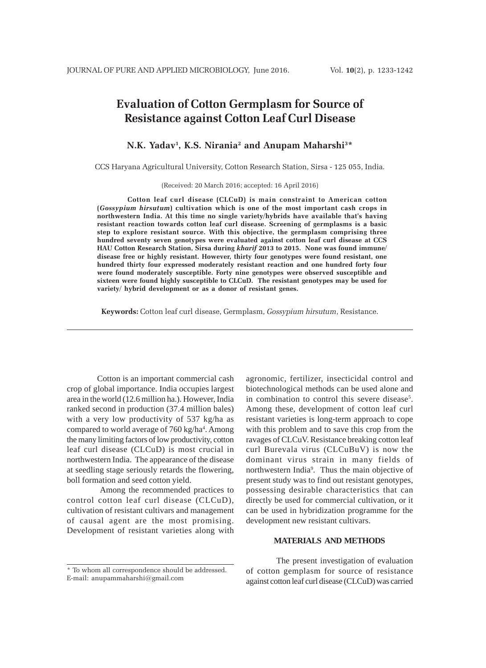# **Evaluation of Cotton Germplasm for Source of Resistance against Cotton Leaf Curl Disease**

## **N.K. Yadav1 , K.S. Nirania2 and Anupam Maharshi3 \***

CCS Haryana Agricultural University, Cotton Research Station, Sirsa - 125 055, India.

(Received: 20 March 2016; accepted: 16 April 2016)

**Cotton leaf curl disease (CLCuD) is main constraint to American cotton (***Gossypium hirsutum***) cultivation which is one of the most important cash crops in northwestern India. At this time no single variety/hybrids have available that's having resistant reaction towards cotton leaf curl disease. Screening of germplasms is a basic step to explore resistant source. With this objective, the germplasm comprising three hundred seventy seven genotypes were evaluated against cotton leaf curl disease at CCS HAU Cotton Research Station, Sirsa during** *kharif* **2013 to 2015. None was found immune/ disease free or highly resistant. However, thirty four genotypes were found resistant, one hundred thirty four expressed moderately resistant reaction and one hundred forty four were found moderately susceptible. Forty nine genotypes were observed susceptible and sixteen were found highly susceptible to CLCuD. The resistant genotypes may be used for variety/ hybrid development or as a donor of resistant genes.**

**Keywords:** Cotton leaf curl disease, Germplasm, *Gossypium hirsutum*, Resistance.

Cotton is an important commercial cash crop of global importance. India occupies largest area in the world (12.6 million ha.). However, India ranked second in production (37.4 million bales) with a very low productivity of 537 kg/ha as compared to world average of 760 kg/ha<sup>4</sup>. Among the many limiting factors of low productivity, cotton leaf curl disease (CLCuD) is most crucial in northwestern India. The appearance of the disease at seedling stage seriously retards the flowering, boll formation and seed cotton yield.

 Among the recommended practices to control cotton leaf curl disease (CLCuD), cultivation of resistant cultivars and management of causal agent are the most promising. Development of resistant varieties along with

\* To whom all correspondence should be addressed. E-mail: anupammaharshi@gmail.com

agronomic, fertilizer, insecticidal control and biotechnological methods can be used alone and in combination to control this severe disease<sup>5</sup>. Among these, development of cotton leaf curl resistant varieties is long-term approach to cope with this problem and to save this crop from the ravages of CLCuV. Resistance breaking cotton leaf curl Burevala virus (CLCuBuV) is now the dominant virus strain in many fields of northwestern India<sup>9</sup>. Thus the main objective of present study was to find out resistant genotypes, possessing desirable characteristics that can directly be used for commercial cultivation, or it can be used in hybridization programme for the development new resistant cultivars.

### **MATERIALS AND METHODS**

The present investigation of evaluation of cotton gemplasm for source of resistance against cotton leaf curl disease (CLCuD) was carried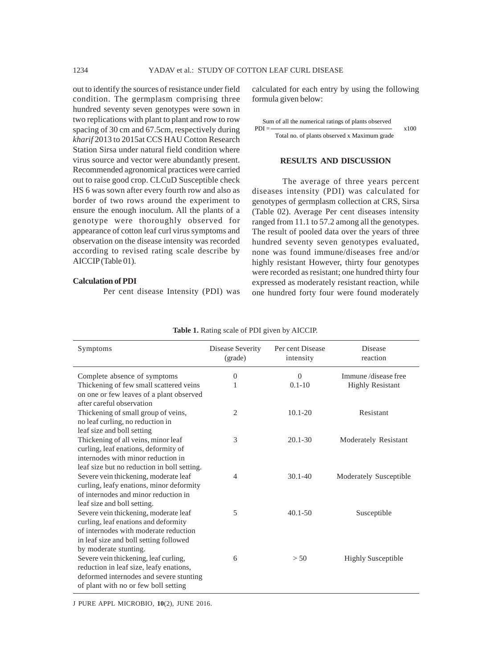out to identify the sources of resistance under field condition. The germplasm comprising three hundred seventy seven genotypes were sown in two replications with plant to plant and row to row spacing of 30 cm and 67.5cm, respectively during *kharif* 2013 to 2015at CCS HAU Cotton Research Station Sirsa under natural field condition where virus source and vector were abundantly present. Recommended agronomical practices were carried out to raise good crop. CLCuD Susceptible check HS 6 was sown after every fourth row and also as border of two rows around the experiment to ensure the enough inoculum. All the plants of a genotype were thoroughly observed for appearance of cotton leaf curl virus symptoms and observation on the disease intensity was recorded according to revised rating scale describe by AICCIP (Table 01).

#### **Calculation of PDI**

Per cent disease Intensity (PDI) was

calculated for each entry by using the following formula given below:

|         | Sum of all the numerical ratings of plants observed |      |
|---------|-----------------------------------------------------|------|
| $PDI =$ |                                                     | x100 |
|         | Total no. of plants observed x Maximum grade        |      |

#### **RESULTS AND DISCUSSION**

The average of three years percent diseases intensity (PDI) was calculated for genotypes of germplasm collection at CRS, Sirsa (Table 02). Average Per cent diseases intensity ranged from 11.1 to 57.2 among all the genotypes. The result of pooled data over the years of three hundred seventy seven genotypes evaluated, none was found immune/diseases free and/or highly resistant However, thirty four genotypes were recorded as resistant; one hundred thirty four expressed as moderately resistant reaction, while one hundred forty four were found moderately

| Symptoms                                                                         | Disease Severity<br>(grade) | Per cent Disease<br>intensity | Disease<br>reaction       |
|----------------------------------------------------------------------------------|-----------------------------|-------------------------------|---------------------------|
| Complete absence of symptoms                                                     | $\theta$                    | $\Omega$                      | Immune/disease free       |
| Thickening of few small scattered veins                                          | 1                           | $0.1 - 10$                    | <b>Highly Resistant</b>   |
| on one or few leaves of a plant observed                                         |                             |                               |                           |
| after careful observation                                                        |                             |                               |                           |
| Thickening of small group of veins,                                              | 2                           | $10.1 - 20$                   | Resistant                 |
| no leaf curling, no reduction in                                                 |                             |                               |                           |
| leaf size and boll setting                                                       |                             |                               |                           |
| Thickening of all veins, minor leaf                                              | 3                           | $20.1 - 30$                   | Moderately Resistant      |
| curling, leaf enations, deformity of                                             |                             |                               |                           |
| internodes with minor reduction in                                               |                             |                               |                           |
| leaf size but no reduction in boll setting.                                      |                             |                               |                           |
| Severe vein thickening, moderate leaf                                            | 4                           | $30.1 - 40$                   | Moderately Susceptible    |
| curling, leafy enations, minor deformity<br>of internodes and minor reduction in |                             |                               |                           |
|                                                                                  |                             |                               |                           |
| leaf size and boll setting.<br>Severe vein thickening, moderate leaf             | 5                           | $40.1 - 50$                   |                           |
| curling, leaf enations and deformity                                             |                             |                               | Susceptible               |
| of internodes with moderate reduction                                            |                             |                               |                           |
| in leaf size and boll setting followed                                           |                             |                               |                           |
| by moderate stunting.                                                            |                             |                               |                           |
| Severe vein thickening, leaf curling,                                            | 6                           | > 50                          | <b>Highly Susceptible</b> |
| reduction in leaf size, leafy enations,                                          |                             |                               |                           |
|                                                                                  |                             |                               |                           |
|                                                                                  |                             |                               |                           |
| deformed internodes and severe stunting<br>of plant with no or few boll setting  |                             |                               |                           |

**Table 1.** Rating scale of PDI given by AICCIP.

J PURE APPL MICROBIO*,* **10**(2), JUNE 2016.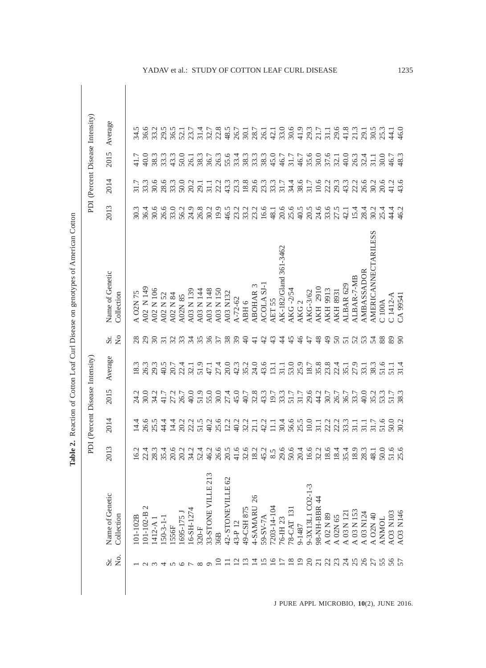|                     |                                                                                                                                                        |                                                                                                                                                                                                                                                                                                               | PDI (Percent Disease Intensity) |      |                                                                                                                                                                                                                                                                                             |                    |                                 |                                                                              |                                                                                                                                                                                                                                                                                       |                                                                                                                                                                                                                                                                                                                                                                                                                                     | PDI (Percent Disease Intensity) |  |
|---------------------|--------------------------------------------------------------------------------------------------------------------------------------------------------|---------------------------------------------------------------------------------------------------------------------------------------------------------------------------------------------------------------------------------------------------------------------------------------------------------------|---------------------------------|------|---------------------------------------------------------------------------------------------------------------------------------------------------------------------------------------------------------------------------------------------------------------------------------------------|--------------------|---------------------------------|------------------------------------------------------------------------------|---------------------------------------------------------------------------------------------------------------------------------------------------------------------------------------------------------------------------------------------------------------------------------------|-------------------------------------------------------------------------------------------------------------------------------------------------------------------------------------------------------------------------------------------------------------------------------------------------------------------------------------------------------------------------------------------------------------------------------------|---------------------------------|--|
|                     |                                                                                                                                                        |                                                                                                                                                                                                                                                                                                               |                                 |      |                                                                                                                                                                                                                                                                                             |                    |                                 |                                                                              |                                                                                                                                                                                                                                                                                       |                                                                                                                                                                                                                                                                                                                                                                                                                                     |                                 |  |
| Σó.<br>Sr.          | Name of Genetic<br>Collection                                                                                                                          | 2013                                                                                                                                                                                                                                                                                                          | 2014                            | 2015 | Average                                                                                                                                                                                                                                                                                     | $\tilde{z}$<br>Sr. | Name of Genetic<br>Collection   | 2013                                                                         | 2014                                                                                                                                                                                                                                                                                  | 2015                                                                                                                                                                                                                                                                                                                                                                                                                                | Average                         |  |
|                     |                                                                                                                                                        |                                                                                                                                                                                                                                                                                                               |                                 |      |                                                                                                                                                                                                                                                                                             |                    |                                 |                                                                              |                                                                                                                                                                                                                                                                                       |                                                                                                                                                                                                                                                                                                                                                                                                                                     |                                 |  |
|                     | 101-102B                                                                                                                                               | 16.2                                                                                                                                                                                                                                                                                                          | 14.4                            |      | 18.3                                                                                                                                                                                                                                                                                        | 28                 | A O2N 75                        |                                                                              |                                                                                                                                                                                                                                                                                       |                                                                                                                                                                                                                                                                                                                                                                                                                                     |                                 |  |
|                     | $101 - 102 - B$ 2                                                                                                                                      |                                                                                                                                                                                                                                                                                                               |                                 |      |                                                                                                                                                                                                                                                                                             |                    | A02 N 149                       |                                                                              |                                                                                                                                                                                                                                                                                       | $rac{1}{40}$                                                                                                                                                                                                                                                                                                                                                                                                                        |                                 |  |
|                     | $1412 - A$ 1                                                                                                                                           | $22.4$<br>$28.3$                                                                                                                                                                                                                                                                                              |                                 |      | 26.3<br>29.3                                                                                                                                                                                                                                                                                | 29                 | A02 N 106                       |                                                                              |                                                                                                                                                                                                                                                                                       |                                                                                                                                                                                                                                                                                                                                                                                                                                     |                                 |  |
|                     | $50-3-1-$                                                                                                                                              |                                                                                                                                                                                                                                                                                                               |                                 |      |                                                                                                                                                                                                                                                                                             |                    | A02 N 52                        |                                                                              |                                                                                                                                                                                                                                                                                       |                                                                                                                                                                                                                                                                                                                                                                                                                                     |                                 |  |
|                     | 1556F                                                                                                                                                  |                                                                                                                                                                                                                                                                                                               |                                 |      |                                                                                                                                                                                                                                                                                             |                    | A02 N 84                        |                                                                              |                                                                                                                                                                                                                                                                                       |                                                                                                                                                                                                                                                                                                                                                                                                                                     |                                 |  |
|                     | [695-175]                                                                                                                                              |                                                                                                                                                                                                                                                                                                               |                                 |      |                                                                                                                                                                                                                                                                                             |                    | A02N 85                         | 3<br>5<br>8<br>8<br>8<br>8<br>8<br>8<br>8<br>8<br>8<br>8<br>8<br>8<br>8<br>8 |                                                                                                                                                                                                                                                                                       |                                                                                                                                                                                                                                                                                                                                                                                                                                     |                                 |  |
|                     | $16 - SH - 1274$                                                                                                                                       |                                                                                                                                                                                                                                                                                                               |                                 |      |                                                                                                                                                                                                                                                                                             |                    | A03 N 139                       |                                                                              |                                                                                                                                                                                                                                                                                       |                                                                                                                                                                                                                                                                                                                                                                                                                                     |                                 |  |
|                     | $320-F$                                                                                                                                                |                                                                                                                                                                                                                                                                                                               |                                 |      |                                                                                                                                                                                                                                                                                             |                    | A03 N 144                       |                                                                              |                                                                                                                                                                                                                                                                                       |                                                                                                                                                                                                                                                                                                                                                                                                                                     |                                 |  |
|                     | 33-STONE VILLE 213                                                                                                                                     |                                                                                                                                                                                                                                                                                                               |                                 |      |                                                                                                                                                                                                                                                                                             |                    | A03 N 148                       |                                                                              |                                                                                                                                                                                                                                                                                       |                                                                                                                                                                                                                                                                                                                                                                                                                                     |                                 |  |
|                     | 36B                                                                                                                                                    |                                                                                                                                                                                                                                                                                                               |                                 |      |                                                                                                                                                                                                                                                                                             |                    | A03 N 150                       |                                                                              |                                                                                                                                                                                                                                                                                       |                                                                                                                                                                                                                                                                                                                                                                                                                                     |                                 |  |
|                     | 42-STONEVILLE 62                                                                                                                                       | $\begin{array}{c} 4.66 \\ 3.67 \\ 4.68 \\ 5.69 \\ 6.74 \\ 7.49 \\ 7.49 \\ 7.49 \\ 7.49 \\ 7.49 \\ 7.49 \\ 7.49 \\ 7.49 \\ 7.49 \\ 7.49 \\ 7.49 \\ 7.49 \\ 7.49 \\ 7.49 \\ 7.49 \\ 7.49 \\ 7.49 \\ 7.49 \\ 7.49 \\ 7.49 \\ 7.49 \\ 7.49 \\ 7.49 \\ 7.49 \\ 7.49 \\ 7.49 \\ 7.49 \\ 7.49 \\ 7.49 \\ 7.49 \\ 7.$ |                                 |      |                                                                                                                                                                                                                                                                                             | ESERESERS          | A03 N132                        | 19.9<br>46.5                                                                 |                                                                                                                                                                                                                                                                                       |                                                                                                                                                                                                                                                                                                                                                                                                                                     |                                 |  |
| $\overline{\omega}$ | 43-P 12                                                                                                                                                |                                                                                                                                                                                                                                                                                                               |                                 |      |                                                                                                                                                                                                                                                                                             |                    | $A - 72 - 62$                   |                                                                              |                                                                                                                                                                                                                                                                                       |                                                                                                                                                                                                                                                                                                                                                                                                                                     |                                 |  |
|                     | 49-CSH 875                                                                                                                                             |                                                                                                                                                                                                                                                                                                               |                                 |      |                                                                                                                                                                                                                                                                                             | $\Theta$           | ABH <sub>6</sub>                |                                                                              |                                                                                                                                                                                                                                                                                       |                                                                                                                                                                                                                                                                                                                                                                                                                                     |                                 |  |
| 그                   | 26<br>4-SAMARU                                                                                                                                         | $41.6$<br>$32.0$<br>$18.2$<br>$45.2$                                                                                                                                                                                                                                                                          |                                 |      |                                                                                                                                                                                                                                                                                             | 극                  | <b>ABOHAR 3</b>                 | 23<br>23<br>23<br>23                                                         |                                                                                                                                                                                                                                                                                       |                                                                                                                                                                                                                                                                                                                                                                                                                                     |                                 |  |
| ≌                   | 59-SV-7A                                                                                                                                               |                                                                                                                                                                                                                                                                                                               |                                 |      | $43.6$<br>$13.1$<br>$31.1$                                                                                                                                                                                                                                                                  | $\frac{1}{4}$      | ACOLA SJ-1                      |                                                                              |                                                                                                                                                                                                                                                                                       |                                                                                                                                                                                                                                                                                                                                                                                                                                     |                                 |  |
| ≌                   | 7203-14-104                                                                                                                                            | 8.5                                                                                                                                                                                                                                                                                                           |                                 |      |                                                                                                                                                                                                                                                                                             | 43                 | AET <sub>55</sub>               | $16.6$<br>48.1                                                               |                                                                                                                                                                                                                                                                                       |                                                                                                                                                                                                                                                                                                                                                                                                                                     |                                 |  |
|                     | 76-IH 23                                                                                                                                               | 29.6                                                                                                                                                                                                                                                                                                          |                                 |      |                                                                                                                                                                                                                                                                                             | $\ddot{4}$         | AK-182/Gland 361-3462           |                                                                              |                                                                                                                                                                                                                                                                                       |                                                                                                                                                                                                                                                                                                                                                                                                                                     |                                 |  |
| $\approx$           | 78-CAT 131                                                                                                                                             | 50.6                                                                                                                                                                                                                                                                                                          |                                 |      |                                                                                                                                                                                                                                                                                             | 45                 | <b>AKG -2/54</b>                |                                                                              |                                                                                                                                                                                                                                                                                       |                                                                                                                                                                                                                                                                                                                                                                                                                                     |                                 |  |
| ⊵                   | 9-1487                                                                                                                                                 | 20.4                                                                                                                                                                                                                                                                                                          |                                 |      |                                                                                                                                                                                                                                                                                             | $\frac{4}{6}$      | AKG <sub>2</sub>                |                                                                              |                                                                                                                                                                                                                                                                                       |                                                                                                                                                                                                                                                                                                                                                                                                                                     |                                 |  |
| $\approx$           | 9-3X13L1 CO2-1-3                                                                                                                                       | $\begin{array}{c} 16.6 \\ 23.1 \\ 24.4 \\ 25.4 \\ 26.4 \\ 27.4 \\ 28.4 \\ 29.4 \\ 20.4 \\ 20.4 \\ 20.4 \\ 20.4 \\ 20.4 \\ 20.4 \\ 20.4 \\ 20.4 \\ 20.4 \\ 20.4 \\ 20.4 \\ 20.4 \\ 20.4 \\ 20.4 \\ 20.4 \\ 20.4 \\ 20.4 \\ 20.4 \\ 20.4 \\ 20.4 \\ 20.4 \\ 20.4 \\ 20.4 \\ 20.4 \\ 20.4 \\ 20.4 \\ 20.4 \\ 20$ |                                 |      |                                                                                                                                                                                                                                                                                             | 47                 | AKG-3/62                        |                                                                              |                                                                                                                                                                                                                                                                                       |                                                                                                                                                                                                                                                                                                                                                                                                                                     |                                 |  |
| $\overline{c}$      | 98-NH-BBR 44                                                                                                                                           |                                                                                                                                                                                                                                                                                                               |                                 |      |                                                                                                                                                                                                                                                                                             | $\frac{8}{4}$      | <b>AKH 2910</b>                 |                                                                              |                                                                                                                                                                                                                                                                                       |                                                                                                                                                                                                                                                                                                                                                                                                                                     |                                 |  |
| 23                  |                                                                                                                                                        |                                                                                                                                                                                                                                                                                                               |                                 |      |                                                                                                                                                                                                                                                                                             | $\frac{9}{4}$      | <b>AKH 9913</b>                 |                                                                              |                                                                                                                                                                                                                                                                                       |                                                                                                                                                                                                                                                                                                                                                                                                                                     |                                 |  |
|                     | $\begin{array}{l} \text{A 02 N 89} \\ \text{A 02N 65} \\ \text{A 03 N 121} \\ \text{A 03 N 153} \\ \text{A 03 N 153} \\ \text{A 03 N 124} \end{array}$ |                                                                                                                                                                                                                                                                                                               |                                 |      |                                                                                                                                                                                                                                                                                             |                    | <b>AKH 8931</b>                 |                                                                              |                                                                                                                                                                                                                                                                                       |                                                                                                                                                                                                                                                                                                                                                                                                                                     |                                 |  |
| 24                  |                                                                                                                                                        |                                                                                                                                                                                                                                                                                                               |                                 |      |                                                                                                                                                                                                                                                                                             |                    | ALBAR <sub>629</sub>            |                                                                              |                                                                                                                                                                                                                                                                                       |                                                                                                                                                                                                                                                                                                                                                                                                                                     |                                 |  |
|                     |                                                                                                                                                        |                                                                                                                                                                                                                                                                                                               |                                 |      |                                                                                                                                                                                                                                                                                             |                    | ALBAR-7-MB                      |                                                                              |                                                                                                                                                                                                                                                                                       |                                                                                                                                                                                                                                                                                                                                                                                                                                     |                                 |  |
| 26                  |                                                                                                                                                        |                                                                                                                                                                                                                                                                                                               |                                 |      |                                                                                                                                                                                                                                                                                             |                    | <b>AMBASSADOR</b>               |                                                                              |                                                                                                                                                                                                                                                                                       |                                                                                                                                                                                                                                                                                                                                                                                                                                     |                                 |  |
|                     | A O2N 40                                                                                                                                               | 48.1                                                                                                                                                                                                                                                                                                          |                                 |      |                                                                                                                                                                                                                                                                                             | 555337             | <b>LESS</b><br>AMERICANNECTARII |                                                                              | $\begin{array}{l} 0.75 & 0.75 & 0.75 \\ 0.75 & 0.75 & 0.75 \\ 0.75 & 0.75 & 0.75 \\ 0.75 & 0.75 & 0.75 \\ 0.75 & 0.75 & 0.75 \\ 0.75 & 0.75 & 0.75 \\ 0.75 & 0.75 & 0.75 \\ 0.75 & 0.75 & 0.75 \\ 0.75 & 0.75 & 0.75 \\ 0.75 & 0.75 & 0.75 \\ 0.75 & 0.75 & 0.75 \\ 0.75 & 0.75 & 0.$ |                                                                                                                                                                                                                                                                                                                                                                                                                                     |                                 |  |
|                     | <b>ANMOL</b>                                                                                                                                           | 50.0                                                                                                                                                                                                                                                                                                          |                                 |      | $\begin{array}{c} 0.957 \\ 0.0871 \\ 0.0871 \\ 0.0971 \\ 0.0971 \\ 0.0971 \\ 0.0971 \\ 0.0971 \\ 0.0971 \\ 0.0971 \\ 0.0971 \\ 0.0971 \\ 0.0971 \\ 0.0971 \\ 0.0971 \\ 0.0971 \\ 0.0971 \\ 0.0971 \\ 0.0971 \\ 0.0971 \\ 0.0971 \\ 0.0971 \\ 0.0971 \\ 0.0971 \\ 0.0971 \\ 0.0971 \\ 0.097$ | 88                 | C100A                           | ० ५ ५ ५<br>० ८ ५ ५ ०<br>० ८ ५ ५ ०                                            | 20.6                                                                                                                                                                                                                                                                                  | $\begin{array}{l} \mathfrak{B} \ \mathfrak{B} \ \mathfrak{C} \ \mathfrak{C} \ \mathfrak{C} \ \mathfrak{C} \ \mathfrak{C} \ \mathfrak{C} \ \mathfrak{C} \ \mathfrak{C} \ \mathfrak{C} \ \mathfrak{C} \ \mathfrak{C} \ \mathfrak{C} \ \mathfrak{C} \ \mathfrak{C} \ \mathfrak{C} \ \mathfrak{C} \ \mathfrak{C} \ \mathfrak{C} \ \mathfrak{C} \ \mathfrak{C} \ \mathfrak{C} \ \mathfrak{C} \ \mathfrak{C} \ \mathfrak{C} \ \mathfrak{$ |                                 |  |
|                     | AO3 N103                                                                                                                                               | $51.6$<br>25.6                                                                                                                                                                                                                                                                                                |                                 |      | $\frac{51.1}{31.4}$                                                                                                                                                                                                                                                                         | 89                 | $C1412-A$                       |                                                                              | 41.2<br>43.6                                                                                                                                                                                                                                                                          |                                                                                                                                                                                                                                                                                                                                                                                                                                     |                                 |  |
|                     | AO3 N146                                                                                                                                               |                                                                                                                                                                                                                                                                                                               |                                 |      |                                                                                                                                                                                                                                                                                             | $\delta$           | CA 99541                        |                                                                              |                                                                                                                                                                                                                                                                                       | 46.7<br>48.3                                                                                                                                                                                                                                                                                                                                                                                                                        |                                 |  |

Table 2. Reaction of Cotton Leaf Curl Disease on genotypes of American Cotton **Table 2.** Reaction of Cotton Leaf Curl Disease on genotypes of American Cotton

J PURE APPL MICROBIO*,* **10**(2), JUNE 2016.

YADAV et al.: STUDY OF COTTON LEAF CURL DISEASE 1235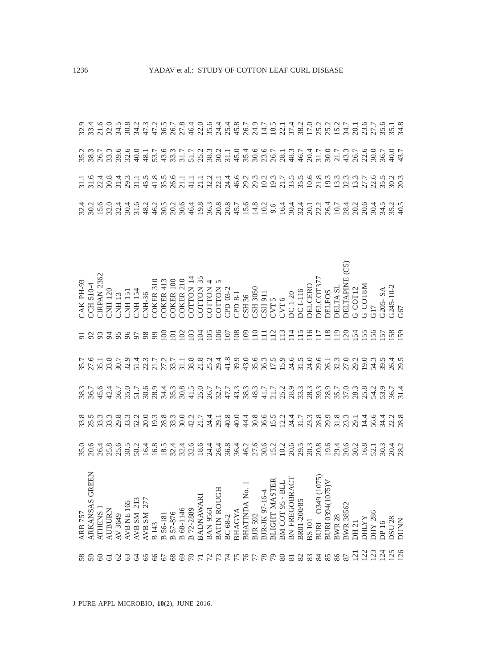|                | $\begin{array}{l} \text{CAR PH-93} \\ \text{CCH S10-4} \\ \text{CHE111} \\ \text{CHE120} \\ \text{CHE113} \\ \text{CHE121} \\ \text{CHE131} \\ \text{CHE131} \\ \text{CHE141} \\ \text{CHE151} \\ \text{CHE151} \\ \text{CHE151} \\ \text{CHE151} \\ \text{CHE151} \\ \text{CHE151} \\ \text{CHE151} \\ \text{CHE151} \\ \text{CHE151} \\ \text{CHE151} \\ \text{CHE151} \\ \text{CHE151} \\$ |               |        |         |          |                                           |              |          |               |           |           |  |     |  |                                                                                                                                                                                                                                                                           |    |    |     |  |               |                  |                 |              |                | G205- SA<br>G245-10-2<br>G67 |               |             |
|----------------|-----------------------------------------------------------------------------------------------------------------------------------------------------------------------------------------------------------------------------------------------------------------------------------------------------------------------------------------------------------------------------------------------|---------------|--------|---------|----------|-------------------------------------------|--------------|----------|---------------|-----------|-----------|--|-----|--|---------------------------------------------------------------------------------------------------------------------------------------------------------------------------------------------------------------------------------------------------------------------------|----|----|-----|--|---------------|------------------|-----------------|--------------|----------------|------------------------------|---------------|-------------|
|                |                                                                                                                                                                                                                                                                                                                                                                                               |               |        |         |          |                                           |              |          |               |           |           |  |     |  |                                                                                                                                                                                                                                                                           |    |    |     |  |               |                  |                 |              |                |                              |               |             |
|                | こんしぁヿットゥーミアニメ。スペルタックではこのようないこうのうちゃんのこんです。スペンスには、それは、それは、それをおいております。                                                                                                                                                                                                                                                                                                                           |               |        |         |          |                                           |              |          |               |           |           |  |     |  |                                                                                                                                                                                                                                                                           |    |    |     |  |               |                  |                 |              |                |                              |               |             |
|                |                                                                                                                                                                                                                                                                                                                                                                                               |               |        |         |          |                                           |              |          |               |           |           |  |     |  |                                                                                                                                                                                                                                                                           |    |    |     |  |               |                  |                 |              |                |                              |               |             |
|                |                                                                                                                                                                                                                                                                                                                                                                                               |               |        |         |          |                                           |              |          |               |           |           |  |     |  |                                                                                                                                                                                                                                                                           |    |    |     |  |               |                  |                 |              |                |                              |               |             |
|                |                                                                                                                                                                                                                                                                                                                                                                                               |               |        |         |          |                                           |              |          |               |           |           |  |     |  |                                                                                                                                                                                                                                                                           |    |    |     |  |               |                  |                 |              |                |                              |               |             |
| <b>ARB 757</b> | <b>GREEN</b><br>ARKANSAS                                                                                                                                                                                                                                                                                                                                                                      | <b>ATHENS</b> | AUBURN | AV 3649 | AVBNE165 | $\frac{\text{AVB SM}}{\text{AVB SM}}$ 213 | <b>B</b> 143 | B 56-181 | B 57-876      | B 68-1146 | B 72-2889 |  |     |  | BADNAWARI<br>BAN 9561<br>BATIN ROUGH<br>BC 68-2<br>BHAGYA<br>BHATINDA No. 1<br>BHATINDA No. 1<br>BHATINDA No. 1<br>BHATINDA No. 1<br>BIR 92-16-4<br>BLIGHT MASTER<br>BM COT 95 - BLL<br>BN FREGOBRACT<br>BN FREGOBRACT<br>BR01-20085<br>BR01-20085<br>BIR 034010394(1075) |    |    |     |  | <b>BWR 28</b> | <b>BWR 38562</b> | DH 21           | <b>DHLYY</b> | <b>ORZ XHC</b> | DP 16                        | <b>DSU 28</b> | <b>DUNN</b> |
|                |                                                                                                                                                                                                                                                                                                                                                                                               | $\infty$      |        |         |          |                                           |              | 67       | $\frac{8}{6}$ | 88        |           |  | 776 |  | 78                                                                                                                                                                                                                                                                        | 67 | 80 | 232 |  |               |                  | $\overline{21}$ | 123          |                | 124                          | 125           |             |

J PURE APPL MICROBIO*,* **10**(2), JUNE 2016.

1236 YADAV et al.: STUDY OF COTTON LEAF CURL DISEASE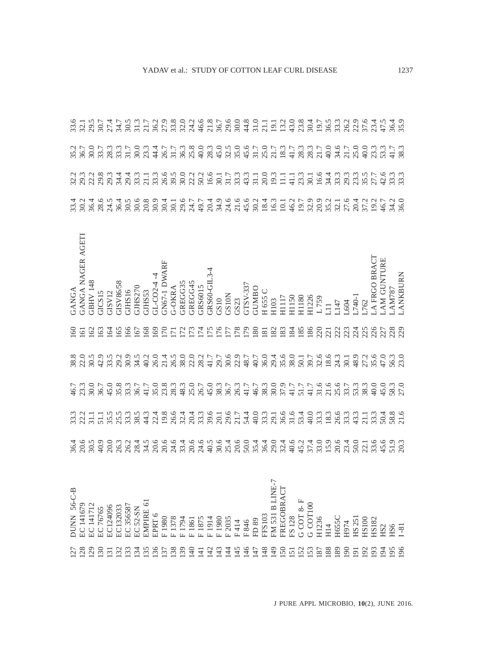|                    |                   |                  |                  |                              |                  |                  |                 |                        |                          |              |                                                                                                    |              |                            |                |                        |                          |                          |             |             |              |               |                                              |     |                                                                                                                                                                                                                                      |                  |                 |              |            |              |            |                          |              |              |                                                     | 36.4<br>35.9         |                      |
|--------------------|-------------------|------------------|------------------|------------------------------|------------------|------------------|-----------------|------------------------|--------------------------|--------------|----------------------------------------------------------------------------------------------------|--------------|----------------------------|----------------|------------------------|--------------------------|--------------------------|-------------|-------------|--------------|---------------|----------------------------------------------|-----|--------------------------------------------------------------------------------------------------------------------------------------------------------------------------------------------------------------------------------------|------------------|-----------------|--------------|------------|--------------|------------|--------------------------|--------------|--------------|-----------------------------------------------------|----------------------|----------------------|
|                    |                   |                  |                  |                              |                  |                  |                 |                        |                          |              |                                                                                                    |              |                            |                |                        |                          |                          |             |             |              |               |                                              |     |                                                                                                                                                                                                                                      |                  |                 |              |            |              |            |                          |              |              |                                                     | 41.7<br>38.3         |                      |
|                    |                   |                  |                  |                              |                  |                  |                 |                        |                          |              |                                                                                                    |              |                            |                |                        |                          |                          |             |             |              |               |                                              |     |                                                                                                                                                                                                                                      |                  |                 |              |            |              |            |                          |              |              |                                                     |                      |                      |
|                    |                   |                  |                  |                              |                  |                  |                 |                        |                          |              |                                                                                                    |              |                            |                |                        |                          |                          |             |             |              |               |                                              |     |                                                                                                                                                                                                                                      |                  |                 |              |            |              |            |                          |              |              |                                                     |                      |                      |
| GANGA              | GANGA NAGER AGETI | <b>GBHV 148</b>  | GICS15<br>GISV12 |                              | <b>SS/98VSIE</b> | GJHS16           | GLS270          | GJHS53                 |                          |              | $\begin{array}{c} \text{GL-CO2-4} \rightarrow \\ \text{GNG7-1 DWARF} \\ \text{G-OKRA} \end{array}$ |              |                            |                |                        |                          |                          |             |             |              |               |                                              |     | GREGG35<br>GREGG45<br>GRS6015<br>GRS60-GIL3-4<br>GRS60-GIL3-4<br>GS10<br>GS10<br>GENY-337<br>GUNBO<br>H 1655 C<br>H 1655 C<br>H 1655 C<br>H 1655 C<br>H 1655 C<br>H 1150<br>H 1150<br>H 1150<br>H 1150<br>H 1150<br>H 1150<br>H 1150 |                  |                 |              |            | L147         | .604       | L740-1                   | .762         | A FRGO BRACT | AM GUNTURE                                          | AM787                | <b>ANKBURN</b>       |
| $\sqrt{2}$         | $\overline{6}$    | $\sqrt{62}$      |                  | $\overline{3}$               |                  |                  |                 | 82<br>8222222222222333 |                          |              |                                                                                                    |              |                            |                |                        |                          |                          |             |             |              |               |                                              |     |                                                                                                                                                                                                                                      |                  |                 |              |            |              |            |                          |              |              |                                                     |                      |                      |
|                    |                   |                  |                  |                              |                  |                  |                 |                        |                          |              |                                                                                                    |              |                            |                |                        |                          |                          |             |             |              |               |                                              |     |                                                                                                                                                                                                                                      |                  |                 |              |            |              |            |                          |              |              |                                                     |                      |                      |
|                    |                   |                  |                  |                              |                  |                  |                 |                        |                          |              |                                                                                                    |              |                            |                |                        |                          |                          |             |             |              |               |                                              |     |                                                                                                                                                                                                                                      |                  |                 |              |            |              |            |                          |              |              | $\begin{array}{c} 45.0 \\ 58.3 \\ 27.0 \end{array}$ |                      |                      |
|                    |                   |                  |                  |                              |                  |                  |                 |                        |                          |              |                                                                                                    |              |                            |                |                        |                          |                          |             |             |              |               |                                              |     |                                                                                                                                                                                                                                      |                  |                 |              |            |              |            |                          |              |              |                                                     |                      |                      |
|                    |                   |                  |                  |                              |                  |                  |                 |                        |                          |              |                                                                                                    |              |                            |                |                        |                          |                          |             |             |              |               |                                              |     |                                                                                                                                                                                                                                      |                  |                 |              |            |              |            |                          |              |              |                                                     |                      |                      |
| DUNN 56-C-B<br>127 | EC 141679<br>128  | EC 141712<br>129 | EC 76765<br>130  | EC124096<br>$\overline{131}$ | EC132033<br>132  | EC 356587<br>133 | EC 52-SN<br>134 | EMPIRE 61<br>135       | EPRT <sub>6</sub><br>136 | F1980<br>137 | F1378<br>138                                                                                       | F1794<br>139 | F <sub>1861</sub><br>$\Xi$ | F1875<br>$\Xi$ | F1914<br>$\frac{1}{2}$ | F <sub>1980</sub><br>143 | F 2035<br>$\overline{4}$ | F414<br>145 | F846<br>146 | FD 89<br>147 | FFS103<br>148 | FM 531 B LINE-7<br>FREGOBRACT<br>$\sqrt{49}$ | 150 | FS 128<br>$\overline{15}$                                                                                                                                                                                                            | G COT 8-F<br>152 | G COT100<br>153 | H1236<br>187 | H14<br>188 | H655C<br>189 | H974<br>90 | HS 251<br>$\overline{5}$ | HS100<br>192 | HS182<br>193 | HS <sub>2</sub><br>$\Xi$                            | HS6<br>$\frac{5}{2}$ | $\overline{8}$<br>96 |
|                    |                   |                  |                  |                              |                  |                  |                 |                        |                          |              |                                                                                                    |              |                            |                |                        |                          |                          |             |             |              |               |                                              |     |                                                                                                                                                                                                                                      |                  |                 |              |            |              |            |                          |              |              |                                                     |                      |                      |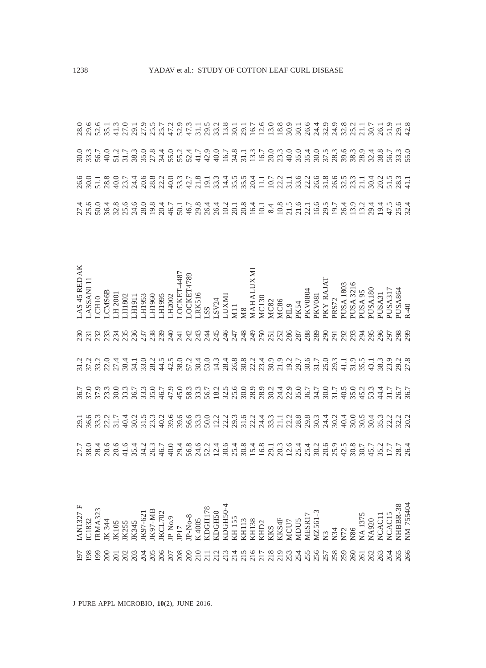|                 | vo T & O L 4 G & d O m L & T m 4 y y 4 T L d T & d Q & & y m T 4 d y n 5 T<br>A & L & Q d d d a a d Q m Q d d m H & & Q H Q d H & d Q & D & Q H & Q D & T                                                                                                                                                                                                                                                                                                                                          |                  |              |  |  |  |                                                                                |  |                             |  |  |                                                                                                            |                               |  |             |          |               |           |       |                  |           |                    |             |        |                                                                                                                                                                                                                                                                                                                                        |                       |        |
|-----------------|----------------------------------------------------------------------------------------------------------------------------------------------------------------------------------------------------------------------------------------------------------------------------------------------------------------------------------------------------------------------------------------------------------------------------------------------------------------------------------------------------|------------------|--------------|--|--|--|--------------------------------------------------------------------------------|--|-----------------------------|--|--|------------------------------------------------------------------------------------------------------------|-------------------------------|--|-------------|----------|---------------|-----------|-------|------------------|-----------|--------------------|-------------|--------|----------------------------------------------------------------------------------------------------------------------------------------------------------------------------------------------------------------------------------------------------------------------------------------------------------------------------------------|-----------------------|--------|
|                 |                                                                                                                                                                                                                                                                                                                                                                                                                                                                                                    |                  |              |  |  |  |                                                                                |  |                             |  |  |                                                                                                            |                               |  |             |          |               |           |       |                  |           |                    |             |        |                                                                                                                                                                                                                                                                                                                                        |                       |        |
|                 | LAS 45 RED AK<br>LASSANI 11                                                                                                                                                                                                                                                                                                                                                                                                                                                                        | CH <sub>10</sub> | <b>CMS6B</b> |  |  |  | H 2001<br>HI802<br>HI802<br>HI953<br>HI956<br>HI956<br>HI995<br>HI995<br>HI995 |  | LOCKET4789<br>LRK516<br>LSS |  |  | $\begin{array}{l} \text{LSY24} \\ \text{LUXMI} \\ \text{M11} \\ \text{M8} \\ \text{MABALUXMI} \end{array}$ | MC130<br>MC82<br>MC86<br>PIL9 |  | <b>PK54</b> | PO80A Xc | <b>PKV081</b> | PKY RAJAT | PRS72 | <b>EO81 ASUS</b> | PUSA 3216 | PUSA <sub>95</sub> | <b>MSUS</b> | PUSA31 | PUSA317                                                                                                                                                                                                                                                                                                                                | PUSA864               | $R-40$ |
|                 | $\begin{array}{l} \mathcal{R}\ \mathcal{R}\ \mathcal{R}\ \mathcal{R}\ \mathcal{R}\ \mathcal{R}\ \mathcal{R}\ \mathcal{R}\ \mathcal{R}\ \mathcal{R}\ \mathcal{R}\ \mathcal{R}\ \mathcal{R}\ \mathcal{R}\ \mathcal{R}\ \mathcal{R}\ \mathcal{R}\ \mathcal{R}\ \mathcal{R}\ \mathcal{R}\ \mathcal{R}\ \mathcal{R}\ \mathcal{R}\ \mathcal{R}\ \mathcal{R}\ \mathcal{R}\ \mathcal{R}\ \mathcal{R}\ \mathcal{R}\ \mathcal{R}\ \mathcal{R}\ \mathcal{R}\ \mathcal{R}\ \mathcal{R}\ \mathcal{R}\ \mathcal$ |                  |              |  |  |  |                                                                                |  |                             |  |  |                                                                                                            |                               |  |             |          |               |           |       |                  |           | 294                | 295         |        | 8588                                                                                                                                                                                                                                                                                                                                   |                       |        |
|                 |                                                                                                                                                                                                                                                                                                                                                                                                                                                                                                    |                  |              |  |  |  |                                                                                |  |                             |  |  |                                                                                                            |                               |  |             |          |               |           |       |                  |           |                    |             |        |                                                                                                                                                                                                                                                                                                                                        |                       |        |
|                 |                                                                                                                                                                                                                                                                                                                                                                                                                                                                                                    |                  |              |  |  |  |                                                                                |  |                             |  |  |                                                                                                            |                               |  |             |          |               |           |       |                  |           |                    |             |        |                                                                                                                                                                                                                                                                                                                                        |                       |        |
|                 |                                                                                                                                                                                                                                                                                                                                                                                                                                                                                                    |                  |              |  |  |  |                                                                                |  |                             |  |  |                                                                                                            |                               |  |             |          |               |           |       |                  |           |                    |             |        |                                                                                                                                                                                                                                                                                                                                        |                       |        |
|                 |                                                                                                                                                                                                                                                                                                                                                                                                                                                                                                    |                  |              |  |  |  |                                                                                |  |                             |  |  |                                                                                                            |                               |  |             |          |               |           |       |                  |           |                    |             |        |                                                                                                                                                                                                                                                                                                                                        |                       |        |
|                 | IAN1327 F<br>IC1832                                                                                                                                                                                                                                                                                                                                                                                                                                                                                | <b>RMA323</b>    |              |  |  |  |                                                                                |  |                             |  |  |                                                                                                            |                               |  |             |          |               |           |       |                  |           |                    |             |        | $\begin{array}{l} \tt K\,344\\ \tt K\,105\\ \tt K\,105\\ \tt K\,107\\ \tt K\,107\\ \tt K\,107\\ \tt K\,107\\ \tt K\,100\\ \tt K\,200\\ \tt K\,300\\ \tt K\,400\\ \tt K\,400\\ \tt K\,400\\ \tt K\,400\\ \tt K\,400\\ \tt K\,400\\ \tt K\,400\\ \tt K\,400\\ \tt K\,400\\ \tt K\,400\\ \tt K\,400\\ \tt K\,400\\ \tt K\,400\\ \tt K\,4$ | NHBBR-38<br>NM 755404 |        |
| $\overline{16}$ | 98                                                                                                                                                                                                                                                                                                                                                                                                                                                                                                 | $\overline{9}$   | $\approx$    |  |  |  |                                                                                |  |                             |  |  |                                                                                                            |                               |  |             |          |               |           |       |                  |           | 261                |             |        | 88888                                                                                                                                                                                                                                                                                                                                  |                       |        |

1238 YADAV et al.: STUDY OF COTTON LEAF CURL DISEASE

J PURE APPL MICROBIO*,* **10**(2), JUNE 2016.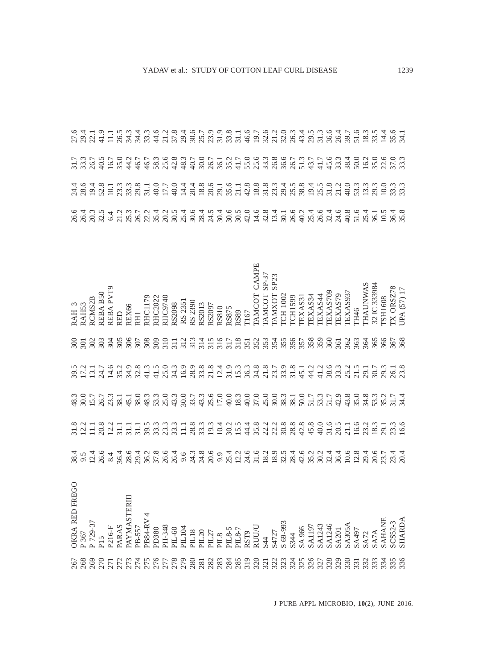|                                                                                                                                                                                                                                                                                                                    | EGO<br>OKRA RED FR                                                                                                                                                                                                                                                                                                                                                                                        |  |                                                                                                                                                                                                                                  |                 | RAH <sub>3</sub>              |  |                                                                                                                                                                                                                        |  |
|--------------------------------------------------------------------------------------------------------------------------------------------------------------------------------------------------------------------------------------------------------------------------------------------------------------------|-----------------------------------------------------------------------------------------------------------------------------------------------------------------------------------------------------------------------------------------------------------------------------------------------------------------------------------------------------------------------------------------------------------|--|----------------------------------------------------------------------------------------------------------------------------------------------------------------------------------------------------------------------------------|-----------------|-------------------------------|--|------------------------------------------------------------------------------------------------------------------------------------------------------------------------------------------------------------------------|--|
|                                                                                                                                                                                                                                                                                                                    |                                                                                                                                                                                                                                                                                                                                                                                                           |  |                                                                                                                                                                                                                                  | $rac{300}{201}$ | RAH53                         |  |                                                                                                                                                                                                                        |  |
|                                                                                                                                                                                                                                                                                                                    |                                                                                                                                                                                                                                                                                                                                                                                                           |  |                                                                                                                                                                                                                                  | 302             | <b>RCMS2B</b>                 |  |                                                                                                                                                                                                                        |  |
|                                                                                                                                                                                                                                                                                                                    |                                                                                                                                                                                                                                                                                                                                                                                                           |  |                                                                                                                                                                                                                                  | 503             | <b>REBAB50</b>                |  |                                                                                                                                                                                                                        |  |
|                                                                                                                                                                                                                                                                                                                    |                                                                                                                                                                                                                                                                                                                                                                                                           |  |                                                                                                                                                                                                                                  |                 | REBA PVT9                     |  |                                                                                                                                                                                                                        |  |
|                                                                                                                                                                                                                                                                                                                    |                                                                                                                                                                                                                                                                                                                                                                                                           |  |                                                                                                                                                                                                                                  |                 | RED                           |  |                                                                                                                                                                                                                        |  |
|                                                                                                                                                                                                                                                                                                                    |                                                                                                                                                                                                                                                                                                                                                                                                           |  |                                                                                                                                                                                                                                  |                 | REX66                         |  |                                                                                                                                                                                                                        |  |
|                                                                                                                                                                                                                                                                                                                    |                                                                                                                                                                                                                                                                                                                                                                                                           |  |                                                                                                                                                                                                                                  |                 | RHI                           |  |                                                                                                                                                                                                                        |  |
| $\begin{smallmatrix} 7 & 8 & 9 & 8 & 7 & 7 & 7 & 8 & 7 & 8 & 6 & 7 & 8 & 7 & 8 & 7 & 8 & 7 & 8 & 7 & 8 & 7 & 8 & 7 & 8 & 7 & 8 & 7 & 8 & 7 & 8 & 7 & 8 & 7 & 8 & 7 & 8 & 7 & 8 & 7 & 8 & 7 & 8 & 7 & 8 & 7 & 8 & 7 & 8 & 7 & 8 & 7 & 8 & 7 & 8 & 7 & 8 & 7 & 8 & 7 & 8 & 7 & 8 & 7 & 8 & 7 & 8 & 7 & 8 & 7 & 8 & $ |                                                                                                                                                                                                                                                                                                                                                                                                           |  | sicint sicion os cinque do orogo os cition cios os citiones de citiones con el citiones de controlado de contr<br>Ricinto de citiones de controlados de citios de citios de controlados de controlados de controlados de control |                 | <b>RHC1179</b>                |  | 12 cs 20 cs 30 cs 30 cs 30 cs 30 cs 30 cs 30 cs 30 cs 30 cs 30 cs 30 cs 30 cs 30 cs 30 cs 30 cs 30 c<br>12 cs 30 cs 31 cs 32 cs 30 cs 30 cs 30 cs 30 cs 30 cs 30 cs 30 cs 30 cs 30 cs 30 cs 30 cs 30 cs 30 cs 30 cs 30 |  |
|                                                                                                                                                                                                                                                                                                                    |                                                                                                                                                                                                                                                                                                                                                                                                           |  |                                                                                                                                                                                                                                  |                 | RHC2022                       |  |                                                                                                                                                                                                                        |  |
|                                                                                                                                                                                                                                                                                                                    |                                                                                                                                                                                                                                                                                                                                                                                                           |  |                                                                                                                                                                                                                                  |                 | RHC9740                       |  |                                                                                                                                                                                                                        |  |
|                                                                                                                                                                                                                                                                                                                    |                                                                                                                                                                                                                                                                                                                                                                                                           |  |                                                                                                                                                                                                                                  |                 | RS2098                        |  |                                                                                                                                                                                                                        |  |
|                                                                                                                                                                                                                                                                                                                    |                                                                                                                                                                                                                                                                                                                                                                                                           |  |                                                                                                                                                                                                                                  |                 | RS 2351                       |  |                                                                                                                                                                                                                        |  |
|                                                                                                                                                                                                                                                                                                                    |                                                                                                                                                                                                                                                                                                                                                                                                           |  |                                                                                                                                                                                                                                  |                 | RS 2390                       |  |                                                                                                                                                                                                                        |  |
|                                                                                                                                                                                                                                                                                                                    |                                                                                                                                                                                                                                                                                                                                                                                                           |  |                                                                                                                                                                                                                                  |                 | RS2013                        |  |                                                                                                                                                                                                                        |  |
|                                                                                                                                                                                                                                                                                                                    |                                                                                                                                                                                                                                                                                                                                                                                                           |  |                                                                                                                                                                                                                                  |                 | RS2097                        |  |                                                                                                                                                                                                                        |  |
|                                                                                                                                                                                                                                                                                                                    |                                                                                                                                                                                                                                                                                                                                                                                                           |  |                                                                                                                                                                                                                                  |                 | RS810                         |  |                                                                                                                                                                                                                        |  |
|                                                                                                                                                                                                                                                                                                                    |                                                                                                                                                                                                                                                                                                                                                                                                           |  |                                                                                                                                                                                                                                  |                 | RS875                         |  |                                                                                                                                                                                                                        |  |
|                                                                                                                                                                                                                                                                                                                    |                                                                                                                                                                                                                                                                                                                                                                                                           |  |                                                                                                                                                                                                                                  |                 | RS89                          |  |                                                                                                                                                                                                                        |  |
|                                                                                                                                                                                                                                                                                                                    |                                                                                                                                                                                                                                                                                                                                                                                                           |  |                                                                                                                                                                                                                                  |                 | T167                          |  |                                                                                                                                                                                                                        |  |
|                                                                                                                                                                                                                                                                                                                    |                                                                                                                                                                                                                                                                                                                                                                                                           |  |                                                                                                                                                                                                                                  |                 | <b>CAMPE</b><br><b>TAMCOT</b> |  |                                                                                                                                                                                                                        |  |
|                                                                                                                                                                                                                                                                                                                    |                                                                                                                                                                                                                                                                                                                                                                                                           |  |                                                                                                                                                                                                                                  |                 | TAMCOT SP-37                  |  |                                                                                                                                                                                                                        |  |
|                                                                                                                                                                                                                                                                                                                    |                                                                                                                                                                                                                                                                                                                                                                                                           |  |                                                                                                                                                                                                                                  |                 | SP23<br><b>TAMXOT</b>         |  |                                                                                                                                                                                                                        |  |
|                                                                                                                                                                                                                                                                                                                    |                                                                                                                                                                                                                                                                                                                                                                                                           |  |                                                                                                                                                                                                                                  |                 | <b>ICH 1002</b>               |  |                                                                                                                                                                                                                        |  |
|                                                                                                                                                                                                                                                                                                                    |                                                                                                                                                                                                                                                                                                                                                                                                           |  |                                                                                                                                                                                                                                  |                 | <b>CH1599</b>                 |  |                                                                                                                                                                                                                        |  |
|                                                                                                                                                                                                                                                                                                                    |                                                                                                                                                                                                                                                                                                                                                                                                           |  |                                                                                                                                                                                                                                  |                 | EXAS31                        |  |                                                                                                                                                                                                                        |  |
|                                                                                                                                                                                                                                                                                                                    |                                                                                                                                                                                                                                                                                                                                                                                                           |  |                                                                                                                                                                                                                                  |                 | TEXAS34                       |  |                                                                                                                                                                                                                        |  |
|                                                                                                                                                                                                                                                                                                                    |                                                                                                                                                                                                                                                                                                                                                                                                           |  |                                                                                                                                                                                                                                  |                 | TEXAS44                       |  |                                                                                                                                                                                                                        |  |
|                                                                                                                                                                                                                                                                                                                    |                                                                                                                                                                                                                                                                                                                                                                                                           |  |                                                                                                                                                                                                                                  |                 | TEXAS709                      |  |                                                                                                                                                                                                                        |  |
|                                                                                                                                                                                                                                                                                                                    |                                                                                                                                                                                                                                                                                                                                                                                                           |  |                                                                                                                                                                                                                                  | 361             | TEXAS79                       |  |                                                                                                                                                                                                                        |  |
|                                                                                                                                                                                                                                                                                                                    |                                                                                                                                                                                                                                                                                                                                                                                                           |  |                                                                                                                                                                                                                                  | 362             | TEXAS937                      |  |                                                                                                                                                                                                                        |  |
|                                                                                                                                                                                                                                                                                                                    |                                                                                                                                                                                                                                                                                                                                                                                                           |  |                                                                                                                                                                                                                                  | 363             | <b>TH46</b>                   |  |                                                                                                                                                                                                                        |  |
|                                                                                                                                                                                                                                                                                                                    |                                                                                                                                                                                                                                                                                                                                                                                                           |  |                                                                                                                                                                                                                                  | 364             | <b>THAUNWAS</b>               |  |                                                                                                                                                                                                                        |  |
|                                                                                                                                                                                                                                                                                                                    |                                                                                                                                                                                                                                                                                                                                                                                                           |  |                                                                                                                                                                                                                                  | 365             | 32 IC 333984                  |  |                                                                                                                                                                                                                        |  |
|                                                                                                                                                                                                                                                                                                                    |                                                                                                                                                                                                                                                                                                                                                                                                           |  |                                                                                                                                                                                                                                  | 366             | <b>SH1608</b>                 |  |                                                                                                                                                                                                                        |  |
|                                                                                                                                                                                                                                                                                                                    |                                                                                                                                                                                                                                                                                                                                                                                                           |  |                                                                                                                                                                                                                                  |                 | X ORSZ78                      |  |                                                                                                                                                                                                                        |  |
|                                                                                                                                                                                                                                                                                                                    | $\begin{array}{l} \tt{P}~367 \\ \tt{P}~729-37 \\ \tt{PI5}\\ \tt{PARAS} \\ \tt{PARAS} \\ \tt{PRAM} \\ \tt{PRAM} \\ \tt{PR} \\ \tt{PR} \\ \tt{PR} \\ \tt{PR} \\ \tt{PR} \\ \tt{PR} \\ \tt{PR} \\ \tt{PR} \\ \tt{PR} \\ \tt{PR} \\ \tt{PR} \\ \tt{PR} \\ \tt{PR} \\ \tt{PR} \\ \tt{PR} \\ \tt{PR} \\ \tt{PR} \\ \tt{PR} \\ \tt{SR} \\ \tt{S} \\ \tt{S} \\ \tt{S} \\ \tt{S} \\ \tt{S} \\ \tt{S} \\ \tt{S} \\$ |  |                                                                                                                                                                                                                                  | 367<br>368      | JPA (57) 17                   |  |                                                                                                                                                                                                                        |  |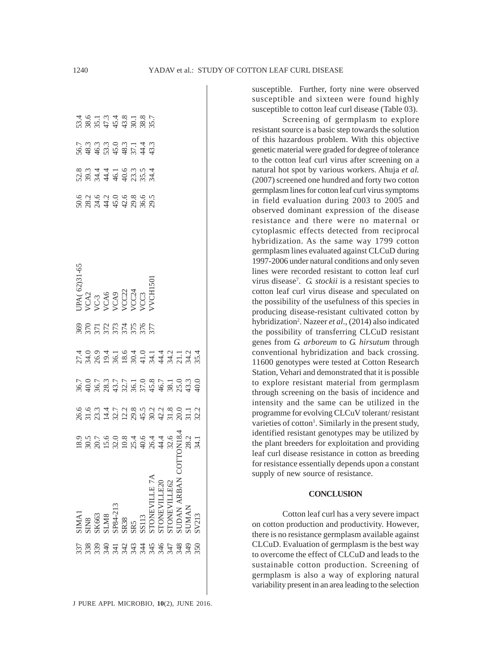| ក្លែ ខ្លួ ១ ម ដូ ម អ អ អ អ អ អ អ អ<br>ក្លែ ខ្លួ ១ ម អ អ អ អ អ អ អ អ អ អ អ | SIMAI<br>SINS<br>SINS<br>SK663<br>SK663<br>SINS<br>SP84-213<br>SENSULLE 74<br>STONEVILLE20<br>STONEVILLE20<br>STONEVILLE20<br>STONEVILLE20<br>STONEVILLE20 | $\begin{array}{r} 18.9 \\ 30.5 \\ 20.7 \\ 15.0 \\ 12.0 \\ 13.2 \\ 16.4 \\ 18.4 \\ 19.4 \\ 19.4 \\ 10.4 \\ 14.5 \\ 15.4 \\ 16.4 \\ 17.5 \\ 18.4 \\ 19.2 \\ 28.2 \\ 34.1 \\ 34.1 \\ 34.1 \\ 34.1 \\ 34.1 \\ 34.1 \\ 34.1 \\ 34.1 \\ 34.1 \\ 34.1 \\ 34.1 \\ 34.1 \\ 34.1 \\ 34.1 \\ 34.1 \\ 34.1 \\ 34.1 \\ 34$ | $999977$<br>$999777$<br>$999777$<br>$999979$<br>$999799$<br>$99979$<br>$99979$ | 707377710871030075000009 | れののは164014212440241680000000000000000 | Serviciana<br>Serviciana | UPA( 62)31-65<br>VCA2<br>VCA3<br>VCA5<br>VCA6<br>VCA2<br>VC22<br>VCC2<br>S VCC3<br>VCC3 |  | $5.999999749$<br>$5.99999749$ | $7.6$ 7 7 7 7 8 7 8 9 7<br>$7.6$ 7 7 7 9 9 8 9 7<br>$7.6$ 7 7 9 9 9 9 9 7 |
|---------------------------------------------------------------------------|------------------------------------------------------------------------------------------------------------------------------------------------------------|---------------------------------------------------------------------------------------------------------------------------------------------------------------------------------------------------------------------------------------------------------------------------------------------------------------|--------------------------------------------------------------------------------|--------------------------|---------------------------------------|--------------------------|-----------------------------------------------------------------------------------------|--|-------------------------------|---------------------------------------------------------------------------|
|                                                                           |                                                                                                                                                            |                                                                                                                                                                                                                                                                                                               |                                                                                |                          |                                       |                          |                                                                                         |  |                               |                                                                           |
|                                                                           |                                                                                                                                                            |                                                                                                                                                                                                                                                                                                               |                                                                                |                          |                                       |                          |                                                                                         |  |                               |                                                                           |
|                                                                           |                                                                                                                                                            |                                                                                                                                                                                                                                                                                                               |                                                                                |                          |                                       |                          |                                                                                         |  |                               |                                                                           |
|                                                                           |                                                                                                                                                            |                                                                                                                                                                                                                                                                                                               |                                                                                |                          |                                       |                          |                                                                                         |  |                               |                                                                           |
|                                                                           |                                                                                                                                                            |                                                                                                                                                                                                                                                                                                               |                                                                                |                          |                                       |                          |                                                                                         |  |                               |                                                                           |
|                                                                           |                                                                                                                                                            |                                                                                                                                                                                                                                                                                                               |                                                                                |                          |                                       |                          |                                                                                         |  |                               |                                                                           |
|                                                                           |                                                                                                                                                            |                                                                                                                                                                                                                                                                                                               |                                                                                |                          |                                       |                          |                                                                                         |  |                               |                                                                           |
|                                                                           |                                                                                                                                                            |                                                                                                                                                                                                                                                                                                               |                                                                                |                          |                                       |                          |                                                                                         |  |                               |                                                                           |
|                                                                           |                                                                                                                                                            |                                                                                                                                                                                                                                                                                                               |                                                                                |                          |                                       |                          |                                                                                         |  |                               |                                                                           |
|                                                                           |                                                                                                                                                            |                                                                                                                                                                                                                                                                                                               |                                                                                |                          |                                       |                          |                                                                                         |  |                               |                                                                           |
|                                                                           |                                                                                                                                                            |                                                                                                                                                                                                                                                                                                               |                                                                                |                          |                                       |                          |                                                                                         |  |                               |                                                                           |

susceptible. Further, forty nine were observed susceptible and sixteen were found highly susceptible to cotton leaf curl disease (Table 03).

Screening of germplasm to explore resistant source is a basic step towards the solution of this hazardous problem. With this objective genetic material were graded for degree of tolerance to the cotton leaf curl virus after screening on a natural hot spot by various workers. Ahuja *et al.* (2007) screened one hundred and forty two cotton germplasm lines for cotton leaf curl virus symptoms in field evaluation during 2003 to 2005 and observed dominant expression of the disease resistance and there were no maternal or cytoplasmic effects detected from reciprocal hybridization. As the same way 1799 cotton germplasm lines evaluated against CLCuD during 1997-2006 under natural conditions and only seven lines were recorded resistant to cotton leaf curl virus disease<sup>7</sup>. *G. stockii* is a resistant species to cotton leaf curl virus disease and speculated on the possibility of the usefulness of this species in producing disease-resistant cultivated cotton by hybridization<sup>2</sup>. Nazeer *et al.*, (2014) also indicated the possibility of transferring CLCuD resistant genes from *G. arboreum* to *G. hirsutum* through conventional hybridization and back crossing. 11600 genotypes were tested at Cotton Research Station, Vehari and demonstrated that it is possible to explore resistant material from germplasm through screening on the basis of incidence and intensity and the same can be utilized in the programme for evolving CLCuV tolerant/ resistant varieties of cotton<sup>1</sup>. Similarly in the present study, identified resistant genotypes may be utilized by the plant breeders for exploitation and providing leaf curl disease resistance in cotton as breeding for resistance essentially depends upon a constant supply of new source of resistance.

#### **CONCLUSION**

Cotton leaf curl has a very severe impact on cotton production and productivity. However, there is no resistance germplasm available against CLCuD. Evaluation of germplasm is the best way to overcome the effect of CLCuD and leads to the sustainable cotton production. Screening of germplasm is also a way of exploring natural variability present in an area leading to the selection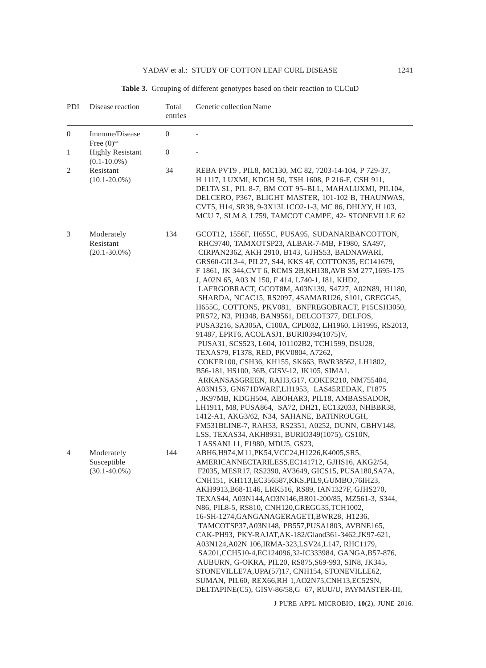| PDI            | Disease reaction                               | Total<br>entries | Genetic collection Name                                                                                                                                                                                                                                                                                                                                                                                                                                                                                                                                                                                                                                                                                                                                                                                                                                                                                                                                                                                                                                                                                                                                                                                                |
|----------------|------------------------------------------------|------------------|------------------------------------------------------------------------------------------------------------------------------------------------------------------------------------------------------------------------------------------------------------------------------------------------------------------------------------------------------------------------------------------------------------------------------------------------------------------------------------------------------------------------------------------------------------------------------------------------------------------------------------------------------------------------------------------------------------------------------------------------------------------------------------------------------------------------------------------------------------------------------------------------------------------------------------------------------------------------------------------------------------------------------------------------------------------------------------------------------------------------------------------------------------------------------------------------------------------------|
| $\overline{0}$ | Immune/Disease<br>Free $(0)$ *                 | $\overline{0}$   |                                                                                                                                                                                                                                                                                                                                                                                                                                                                                                                                                                                                                                                                                                                                                                                                                                                                                                                                                                                                                                                                                                                                                                                                                        |
| 1              | <b>Highly Resistant</b><br>$(0.1 - 10.0\%)$    | $\mathbf{0}$     |                                                                                                                                                                                                                                                                                                                                                                                                                                                                                                                                                                                                                                                                                                                                                                                                                                                                                                                                                                                                                                                                                                                                                                                                                        |
| 2              | Resistant<br>$(10.1 - 20.0\%)$                 | 34               | REBA PVT9, PIL8, MC130, MC 82, 7203-14-104, P 729-37,<br>H 1117, LUXMI, KDGH 50, TSH 1608, P 216-F, CSH 911,<br>DELTA SL, PIL 8-7, BM COT 95-BLL, MAHALUXMI, PIL104,<br>DELCERO, P367, BLIGHT MASTER, 101-102 B, THAUNWAS,<br>CVT5, H14, SR38, 9-3X13L1CO2-1-3, MC 86, DHLYY, H 103,<br>MCU 7, SLM 8, L759, TAMCOT CAMPE, 42- STONEVILLE 62                                                                                                                                                                                                                                                                                                                                                                                                                                                                                                                                                                                                                                                                                                                                                                                                                                                                            |
| 3              | Moderately<br>Resistant<br>$(20.1 - 30.0\%)$   | 134              | GCOT12, 1556F, H655C, PUSA95, SUDANARBANCOTTON,<br>RHC9740, TAMXOTSP23, ALBAR-7-MB, F1980, SA497,<br>CIRPAN2362, AKH 2910, B143, GJHS53, BADNAWARI,<br>GRS60-GIL3-4, PIL27, S44, KKS 4F, COTTON35, EC141679,<br>F 1861, JK 344, CVT 6, RCMS 2B, KH138, AVB SM 277, 1695-175<br>J, A02N 65, A03 N 150, F 414, L740-1, I81, KHD2,<br>LAFRGOBRACT, GCOT8M, A03N139, S4727, A02N89, H1180,<br>SHARDA, NCAC15, RS2097, 4SAMARU26, S101, GREGG45,<br>H655C, COTTON5, PKV081, BNFREGOBRACT, P15CSH3050,<br>PRS72, N3, PH348, BAN9561, DELCOT377, DELFOS,<br>PUSA3216, SA305A, C100A, CPD032, LH1960, LH1995, RS2013,<br>91487, EPRT6, ACOLASJ1, BURI0394(1075)V,<br>PUSA31, SCS523, L604, 101102B2, TCH1599, DSU28,<br>TEXAS79, F1378, RED, PKV0804, A7262,<br>COKER100, CSH36, KH155, SK663, BWR38562, LH1802,<br>B56-181, HS100, 36B, GISV-12, JK105, SIMA1,<br>ARKANSASGREEN, RAH3,G17, COKER210, NM755404,<br>A03N153, GN671DWARF,LH1953, LAS45REDAK, F1875<br>, JK97MB, KDGH504, ABOHAR3, PIL18, AMBASSADOR,<br>LH1911, M8, PUSA864, SA72, DH21, EC132033, NHBBR38,<br>1412-A1, AKG3/62, N34, SAHANE, BATINROUGH,<br>FM531BLINE-7, RAH53, RS2351, A0252, DUNN, GBHV148,<br>LSS, TEXAS34, AKH8931, BURIO349(1075), GS10N, |
| 4              | Moderately<br>Susceptible<br>$(30.1 - 40.0\%)$ | 144              | LASSANI 11, F1980, MDU5, GS23,<br>ABH6, H974, M11, PK54, VCC24, H1226, K4005, SR5,<br>AMERICANNECTARILESS, EC141712, GJHS16, AKG2/54,<br>F2035, MESR17, RS2390, AV3649, GICS15, PUSA180, SA7A,<br>CNH151, KH113, EC356587, KKS, PIL9, GUMBO, 76IH23,<br>AKH9913, B68-1146, LRK516, RS89, IAN1327F, GJHS270,<br>TEXAS44, A03N144, AO3N146, BR01-200/85, MZ561-3, S344,<br>N86, PIL8-5, RS810, CNH120, GREGG35, TCH1002,<br>16-SH-1274, GANGANAGERAGETI, BWR28, H1236,<br>TAMCOTSP37, A03N148, PB557, PUSA1803, AVBNE165,<br>CAK-PH93, PKY-RAJAT, AK-182/Gland361-3462, JK97-621,<br>A03N124, A02N 106, IRMA-323, LSV24, L147, RHC1179,<br>SA201, CCH510-4, EC124096, 32-IC333984, GANGA, B57-876,<br>AUBURN, G-OKRA, PIL20, RS875, S69-993, SIN8, JK345,<br>STONEVILLE7A, UPA(57)17, CNH154, STONEVILLE62,<br>SUMAN, PIL60, REX66, RH 1, AO2N75, CNH13, EC52SN,<br>DELTAPINE(C5), GISV-86/58,G 67, RUU/U, PAYMASTER-III,                                                                                                                                                                                                                                                                                                |

Table 3. Grouping of different genotypes based on their reaction to CLCuD

J PURE APPL MICROBIO*,* **10**(2), JUNE 2016.